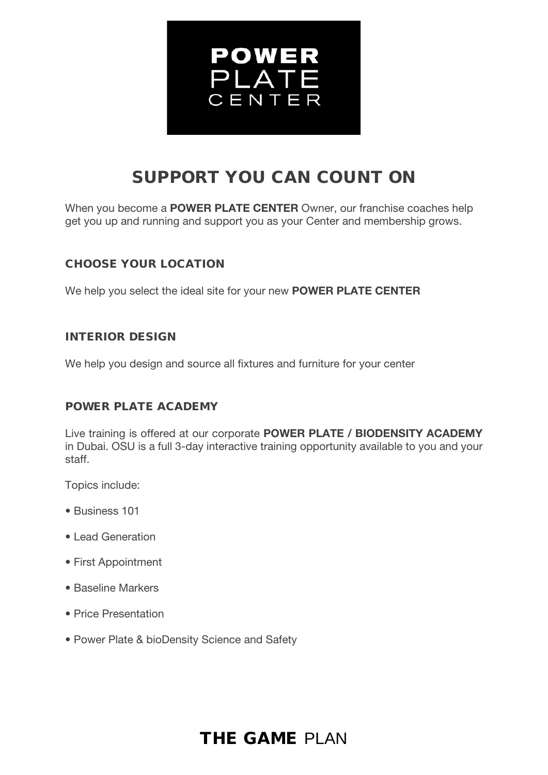

# SUPPORT YOU CAN COUNT ON

When you become a **POWER PLATE CENTER** Owner, our franchise coaches help get you up and running and support you as your Center and membership grows.

### CHOOSE YOUR LOCATION

We help you select the ideal site for your new **POWER PLATE CENTER** 

### INTERIOR DESIGN

We help you design and source all fixtures and furniture for your center

### POWER PLATE ACADEMY

Live training is offered at our corporate POWER PLATE / BIODENSITY ACADEMY in Dubai. OSU is a full 3-day interactive training opportunity available to you and your staff.

Topics include:

- Business 101
- Lead Generation
- First Appointment
- Baseline Markers
- Price Presentation
- Power Plate & bioDensity Science and Safety

### THE GAME PLAN